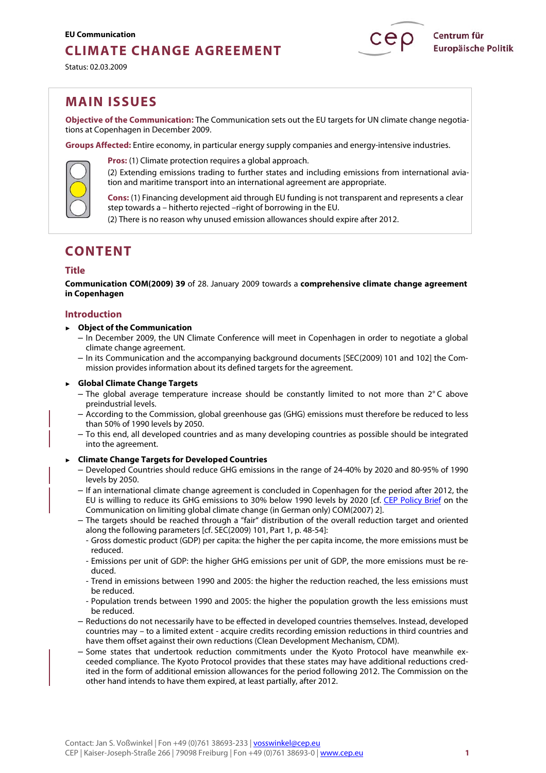# **CLIMATE CHANGE AGREEMENT**

Status: 02.03.2009



# **MAIN ISSUES**

**Objective of the Communication:** The Communication sets out the EU targets for UN climate change negotiations at Copenhagen in December 2009.

**Groups Affected:** Entire economy, in particular energy supply companies and energy-intensive industries.



**Pros:** (1) Climate protection requires a global approach.

(2) Extending emissions trading to further states and including emissions from international aviation and maritime transport into an international agreement are appropriate.

**Cons:** (1) Financing development aid through EU funding is not transparent and represents a clear step towards a – hitherto rejected –right of borrowing in the EU.

(2) There is no reason why unused emission allowances should expire after 2012.

# **CONTENT**

# **Title**

**Communication COM(2009) 39** of 28. January 2009 towards a **comprehensive climate change agreement in Copenhagen** 

# **Introduction**

### ► **Object of the Communication**

- In December 2009, the UN Climate Conference will meet in Copenhagen in order to negotiate a global climate change agreement.
- In its Communication and the accompanying background documents [SEC(2009) 101 and 102] the Commission provides information about its defined targets for the agreement.

#### ► **Global Climate Change Targets**

- The global average temperature increase should be constantly limited to not more than  $2^{\circ}$ C above preindustrial levels.
- According to the Commission, global greenhouse gas (GHG) emissions must therefore be reduced to less than 50% of 1990 levels by 2050.
- To this end, all developed countries and as many developing countries as possible should be integrated into the agreement.

# ► **Climate Change Targets for Developed Countries**

- Developed Countries should reduce GHG emissions in the range of 24-40% by 2020 and 80-95% of 1990 levels by 2050.
- If an international climate change agreement is concluded in Copenhagen for the period after 2012, the EU is willing to reduce its GHG emissions to 30% below 1990 levels by 2020 [cf. [CEP Policy Brief](http://www.cep.eu/478.html) on the Communication on limiting global climate change (in German only) COM(2007) 2].
- The targets should be reached through a "fair" distribution of the overall reduction target and oriented along the following parameters [cf. SEC(2009) 101, Part 1, p. 48-54]:
	- Gross domestic product (GDP) per capita: the higher the per capita income, the more emissions must be reduced.
	- Emissions per unit of GDP: the higher GHG emissions per unit of GDP, the more emissions must be reduced.
	- Trend in emissions between 1990 and 2005: the higher the reduction reached, the less emissions must be reduced.
	- Population trends between 1990 and 2005: the higher the population growth the less emissions must be reduced.
- Reductions do not necessarily have to be effected in developed countries themselves. Instead, developed countries may – to a limited extent - acquire credits recording emission reductions in third countries and have them offset against their own reductions (Clean Development Mechanism, CDM).
- Some states that undertook reduction commitments under the Kyoto Protocol have meanwhile exceeded compliance. The Kyoto Protocol provides that these states may have additional reductions credited in the form of additional emission allowances for the period following 2012. The Commission on the other hand intends to have them expired, at least partially, after 2012.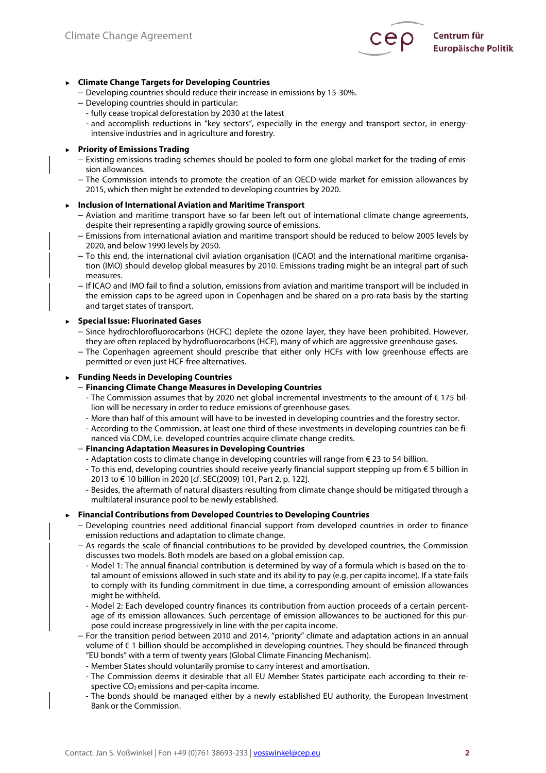

# ► **Climate Change Targets for Developing Countries**

- Developing countries should reduce their increase in emissions by 15-30%.
- Developing countries should in particular:
	- fully cease tropical deforestation by 2030 at the latest
	- and accomplish reductions in "key sectors", especially in the energy and transport sector, in energyintensive industries and in agriculture and forestry.

### ► **Priority of Emissions Trading**

- Existing emissions trading schemes should be pooled to form one global market for the trading of emission allowances.
- The Commission intends to promote the creation of an OECD-wide market for emission allowances by 2015, which then might be extended to developing countries by 2020.

### ► **Inclusion of International Aviation and Maritime Transport**

- Aviation and maritime transport have so far been left out of international climate change agreements, despite their representing a rapidly growing source of emissions.
- Emissions from international aviation and maritime transport should be reduced to below 2005 levels by 2020, and below 1990 levels by 2050.
- To this end, the international civil aviation organisation (ICAO) and the international maritime organisation (IMO) should develop global measures by 2010. Emissions trading might be an integral part of such measures.
- If ICAO and IMO fail to find a solution, emissions from aviation and maritime transport will be included in the emission caps to be agreed upon in Copenhagen and be shared on a pro-rata basis by the starting and target states of transport.

#### ► **Special Issue: Fluorinated Gases**

- Since hydrochlorofluorocarbons (HCFC) deplete the ozone layer, they have been prohibited. However, they are often replaced by hydrofluorocarbons (HCF), many of which are aggressive greenhouse gases.
- The Copenhagen agreement should prescribe that either only HCFs with low greenhouse effects are permitted or even just HCF-free alternatives.

### ► **Funding Needs in Developing Countries**

# – **Financing Climate Change Measures in Developing Countries**

- The Commission assumes that by 2020 net global incremental investments to the amount of € 175 billion will be necessary in order to reduce emissions of greenhouse gases.
- More than half of this amount will have to be invested in developing countries and the forestry sector.
- According to the Commission, at least one third of these investments in developing countries can be financed via CDM, i.e. developed countries acquire climate change credits.

#### – **Financing Adaptation Measures in Developing Countries**

- Adaptation costs to climate change in developing countries will range from € 23 to 54 billion.
- To this end, developing countries should receive yearly financial support stepping up from € 5 billion in 2013 to € 10 billion in 2020 [cf. SEC(2009) 101, Part 2, p. 122].
- Besides, the aftermath of natural disasters resulting from climate change should be mitigated through a multilateral insurance pool to be newly established.

#### ► **Financial Contributions from Developed Countries to Developing Countries**

- Developing countries need additional financial support from developed countries in order to finance emission reductions and adaptation to climate change.
- As regards the scale of financial contributions to be provided by developed countries, the Commission discusses two models. Both models are based on a global emission cap.
	- Model 1: The annual financial contribution is determined by way of a formula which is based on the total amount of emissions allowed in such state and its ability to pay (e.g. per capita income). If a state fails to comply with its funding commitment in due time, a corresponding amount of emission allowances might be withheld.
	- Model 2: Each developed country finances its contribution from auction proceeds of a certain percentage of its emission allowances. Such percentage of emission allowances to be auctioned for this purpose could increase progressively in line with the per capita income.
- For the transition period between 2010 and 2014, "priority" climate and adaptation actions in an annual volume of € 1 billion should be accomplished in developing countries. They should be financed through "EU bonds" with a term of twenty years (Global Climate Financing Mechanism).
	- Member States should voluntarily promise to carry interest and amortisation.
	- The Commission deems it desirable that all EU Member States participate each according to their respective CO<sub>2</sub> emissions and per-capita income.
	- The bonds should be managed either by a newly established EU authority, the European Investment Bank or the Commission.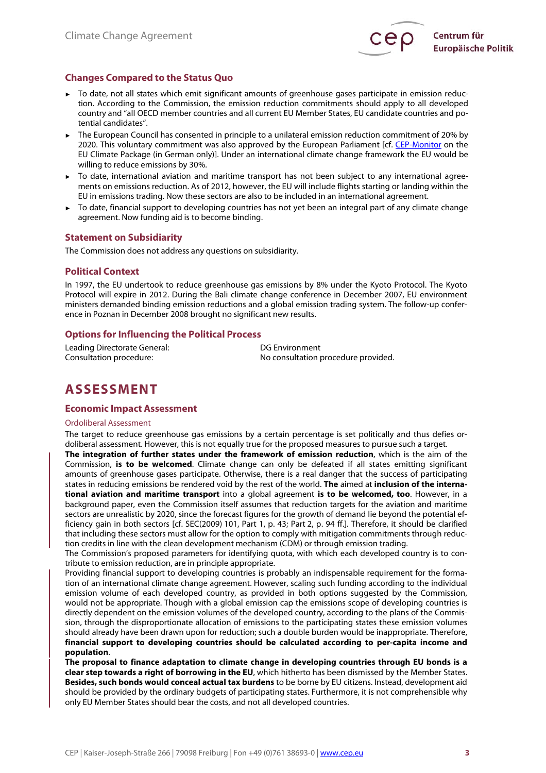

# **Changes Compared to the Status Quo**

- ► To date, not all states which emit significant amounts of greenhouse gases participate in emission reduction. According to the Commission, the emission reduction commitments should apply to all developed country and "all OECD member countries and all current EU Member States, EU candidate countries and potential candidates".
- The European Council has consented in principle to a unilateral emission reduction commitment of 20% by 2020. This voluntary commitment was also approved by the European Parliament [cf. [CEP-Monitor](http://www.cep.eu/fileadmin/user_upload/CEP-Monitor/KOM_2008_016_Handel_mit_Emissionsrechten/Klimapaket_Europaeischer_Rat_12.12.2008_Schlussfolgerungen.pdf) on the EU Climate Package (in German only)]. Under an international climate change framework the EU would be willing to reduce emissions by 30%.
- ► To date, international aviation and maritime transport has not been subject to any international agreements on emissions reduction. As of 2012, however, the EU will include flights starting or landing within the EU in emissions trading. Now these sectors are also to be included in an international agreement.
- To date, financial support to developing countries has not yet been an integral part of any climate change agreement. Now funding aid is to become binding.

# **Statement on Subsidiarity**

The Commission does not address any questions on subsidiarity.

### **Political Context**

In 1997, the EU undertook to reduce greenhouse gas emissions by 8% under the Kyoto Protocol. The Kyoto Protocol will expire in 2012. During the Bali climate change conference in December 2007, EU environment ministers demanded binding emission reductions and a global emission trading system. The follow-up conference in Poznan in December 2008 brought no significant new results.

# **Options for Influencing the Political Process**

Leading Directorate General: DG Environment

Consultation procedure: No consultation procedure provided.

# **ASSESSMENT**

# **Economic Impact Assessment**

#### Ordoliberal Assessment

The target to reduce greenhouse gas emissions by a certain percentage is set politically and thus defies ordoliberal assessment. However, this is not equally true for the proposed measures to pursue such a target.

**The integration of further states under the framework of emission reduction**, which is the aim of the Commission, **is to be welcomed**. Climate change can only be defeated if all states emitting significant amounts of greenhouse gases participate. Otherwise, there is a real danger that the success of participating states in reducing emissions be rendered void by the rest of the world. **The** aimed at **inclusion of the international aviation and maritime transport** into a global agreement **is to be welcomed, too**. However, in a background paper, even the Commission itself assumes that reduction targets for the aviation and maritime sectors are unrealistic by 2020, since the forecast figures for the growth of demand lie beyond the potential efficiency gain in both sectors [cf. SEC(2009) 101, Part 1, p. 43; Part 2, p. 94 ff.]. Therefore, it should be clarified that including these sectors must allow for the option to comply with mitigation commitments through reduction credits in line with the clean development mechanism (CDM) or through emission trading.

The Commission's proposed parameters for identifying quota, with which each developed country is to contribute to emission reduction, are in principle appropriate.

Providing financial support to developing countries is probably an indispensable requirement for the formation of an international climate change agreement. However, scaling such funding according to the individual emission volume of each developed country, as provided in both options suggested by the Commission, would not be appropriate. Though with a global emission cap the emissions scope of developing countries is directly dependent on the emission volumes of the developed country, according to the plans of the Commission, through the disproportionate allocation of emissions to the participating states these emission volumes should already have been drawn upon for reduction; such a double burden would be inappropriate. Therefore, **financial support to developing countries should be calculated according to per-capita income and population**.

**The proposal to finance adaptation to climate change in developing countries through EU bonds is a clear step towards a right of borrowing in the EU**, which hitherto has been dismissed by the Member States. **Besides, such bonds would conceal actual tax burdens** to be borne by EU citizens. Instead, development aid should be provided by the ordinary budgets of participating states. Furthermore, it is not comprehensible why only EU Member States should bear the costs, and not all developed countries.